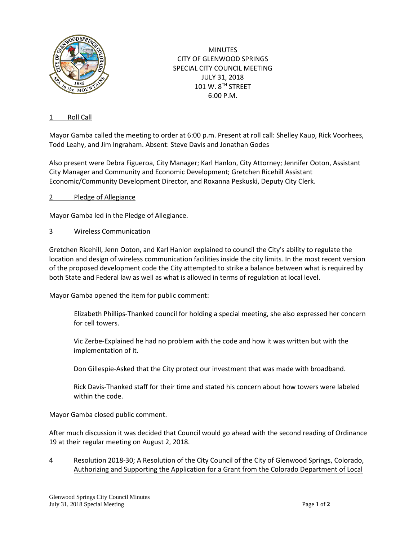

**MINUTES** CITY OF GLENWOOD SPRINGS SPECIAL CITY COUNCIL MEETING JULY 31, 2018 101 W. 8TH STREET 6:00 P.M.

## 1 Roll Call

Mayor Gamba called the meeting to order at 6:00 p.m. Present at roll call: Shelley Kaup, Rick Voorhees, Todd Leahy, and Jim Ingraham. Absent: Steve Davis and Jonathan Godes

Also present were Debra Figueroa, City Manager; Karl Hanlon, City Attorney; Jennifer Ooton, Assistant City Manager and Community and Economic Development; Gretchen Ricehill Assistant Economic/Community Development Director, and Roxanna Peskuski, Deputy City Clerk.

2 Pledge of Allegiance

Mayor Gamba led in the Pledge of Allegiance.

3 Wireless Communication

Gretchen Ricehill, Jenn Ooton, and Karl Hanlon explained to council the City's ability to regulate the location and design of wireless communication facilities inside the city limits. In the most recent version of the proposed development code the City attempted to strike a balance between what is required by both State and Federal law as well as what is allowed in terms of regulation at local level.

Mayor Gamba opened the item for public comment:

Elizabeth Phillips-Thanked council for holding a special meeting, she also expressed her concern for cell towers.

Vic Zerbe-Explained he had no problem with the code and how it was written but with the implementation of it.

Don Gillespie-Asked that the City protect our investment that was made with broadband.

Rick Davis-Thanked staff for their time and stated his concern about how towers were labeled within the code.

Mayor Gamba closed public comment.

After much discussion it was decided that Council would go ahead with the second reading of Ordinance 19 at their regular meeting on August 2, 2018.

4 Resolution 2018-30; A Resolution of the City Council of the City of Glenwood Springs, Colorado, Authorizing and Supporting the Application for a Grant from the Colorado Department of Local